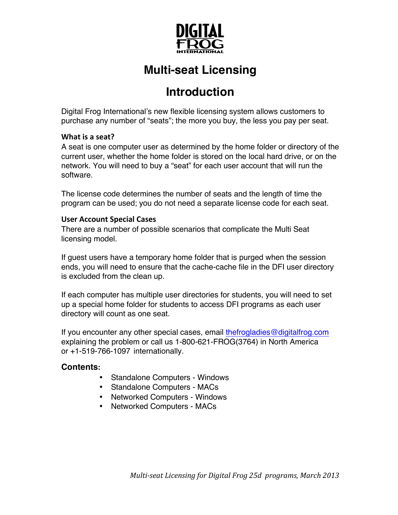

# **Multi-seat Licensing**

### **Introduction**

Digital Frog International's new flexible licensing system allows customers to purchase any number of "seats"; the more you buy, the less you pay per seat.

### **What is a seat?**

A seat is one computer user as determined by the home folder or directory of the current user, whether the home folder is stored on the local hard drive, or on the network. You will need to buy a "seat" for each user account that will run the software.

The license code determines the number of seats and the length of time the program can be used; you do not need a separate license code for each seat.

### **User Account Special Cases**

There are a number of possible scenarios that complicate the Multi Seat licensing model.

If guest users have a temporary home folder that is purged when the session ends, you will need to ensure that the cache-cache file in the DFI user directory is excluded from the clean up.

If each computer has multiple user directories for students, you will need to set up a special home folder for students to access DFI programs as each user directory will count as one seat.

If you encounter any other special cases, email thefrogladies@digitalfrog.com explaining the problem or call us 1-800-621-FROG(3764) in North America or +1-519-766-1097 internationally.

### **Contents:**

- Standalone Computers Windows
- Standalone Computers MACs
- Networked Computers Windows
- Networked Computers MACs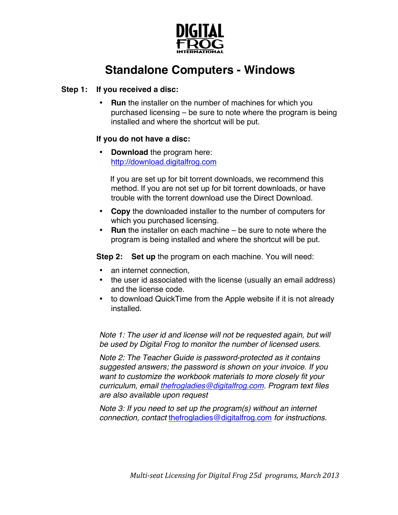

## **Standalone Computers - Windows**

#### **Step 1: If you received a disc:**

**Run** the installer on the number of machines for which you purchased licensing – be sure to note where the program is being installed and where the shortcut will be put.

### **If you do not have a disc:**

• **Download** the program here: http://download.digitalfrog.com

If you are set up for bit torrent downloads, we recommend this method. If you are not set up for bit torrent downloads, or have trouble with the torrent download use the Direct Download.

- **Copy** the downloaded installer to the number of computers for which you purchased licensing.
- **Run** the installer on each machine be sure to note where the program is being installed and where the shortcut will be put.

**Step 2: Set up** the program on each machine. You will need:

- an internet connection,
- the user id associated with the license (usually an email address) and the license code.
- to download QuickTime from the Apple website if it is not already installed.

*Note 1: The user id and license will not be requested again, but will be used by Digital Frog to monitor the number of licensed users.*

*Note 2: The Teacher Guide is password-protected as it contains suggested answers; the password is shown on your invoice. If you want to customize the workbook materials to more closely fit your curriculum, email thefrogladies@digitalfrog.com. Program text files are also available upon request*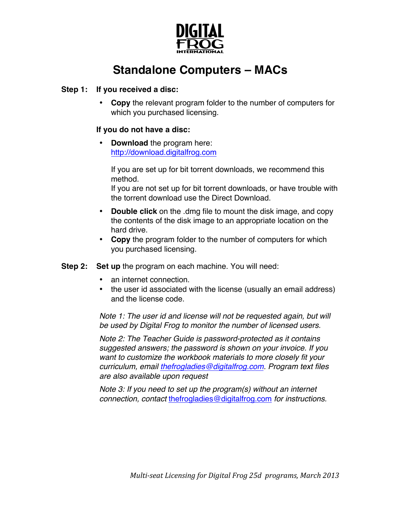

## **Standalone Computers – MACs**

#### **Step 1: If you received a disc:**

• **Copy** the relevant program folder to the number of computers for which you purchased licensing.

#### **If you do not have a disc:**

• **Download** the program here: http://download.digitalfrog.com

If you are set up for bit torrent downloads, we recommend this method.

If you are not set up for bit torrent downloads, or have trouble with the torrent download use the Direct Download.

- **Double click** on the .dmg file to mount the disk image, and copy the contents of the disk image to an appropriate location on the hard drive.
- **Copy** the program folder to the number of computers for which you purchased licensing.
- **Step 2: Set up** the program on each machine. You will need:
	- an internet connection.
	- the user id associated with the license (usually an email address) and the license code.

*Note 1: The user id and license will not be requested again, but will be used by Digital Frog to monitor the number of licensed users.*

*Note 2: The Teacher Guide is password-protected as it contains suggested answers; the password is shown on your invoice. If you want to customize the workbook materials to more closely fit your curriculum, email thefrogladies@digitalfrog.com. Program text files are also available upon request*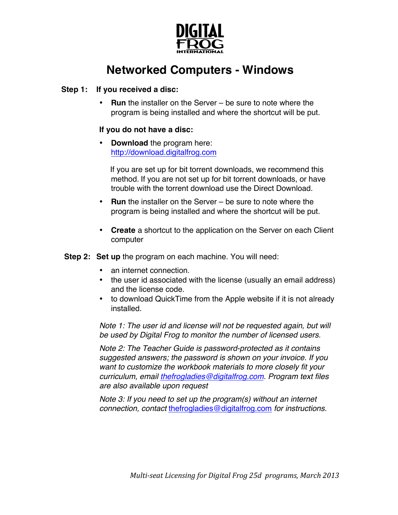

## **Networked Computers - Windows**

#### **Step 1: If you received a disc:**

• **Run** the installer on the Server – be sure to note where the program is being installed and where the shortcut will be put.

#### **If you do not have a disc:**

• **Download** the program here: http://download.digitalfrog.com

If you are set up for bit torrent downloads, we recommend this method. If you are not set up for bit torrent downloads, or have trouble with the torrent download use the Direct Download.

- **Run** the installer on the Server be sure to note where the program is being installed and where the shortcut will be put.
- **Create** a shortcut to the application on the Server on each Client computer
- **Step 2: Set up** the program on each machine. You will need:
	- an internet connection.
	- the user id associated with the license (usually an email address) and the license code.
	- to download QuickTime from the Apple website if it is not already installed.

*Note 1: The user id and license will not be requested again, but will be used by Digital Frog to monitor the number of licensed users.*

*Note 2: The Teacher Guide is password-protected as it contains suggested answers; the password is shown on your invoice. If you want to customize the workbook materials to more closely fit your curriculum, email thefrogladies@digitalfrog.com. Program text files are also available upon request*